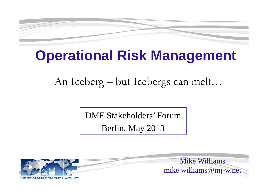

# **Operational Risk Management**

An Iceberg – but Icebergs can melt…

DMF Stakeholders' Forum

Berlin, May 2013

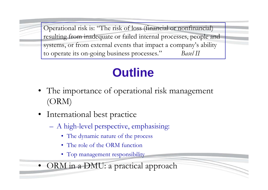Operational risk is: "The risk of loss (financial or nonfinancial) resulting from inadequate or failed internal processes, people and systems, or from external events that impact a company's ability to operate its on-going business processes." *Basel II*

# **Outline**

- The importance of operational risk management (ORM)
- International best practice
	- A high-level perspective, emphasising:
		- The dynamic nature of the process
		- The role of the ORM function
		- Top management responsibility
- •ORM in a DMU: a practical approach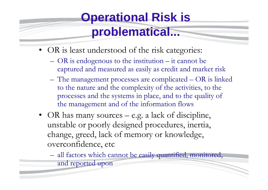# **Operational Risk is**

### **problematical...**

- OR is least understood of the risk categories:
	- OR is endogenous to the institution it cannot be captured and measured as easily as credit and market risk
	- The management processes are complicated OR is linked to the nature and the complexity of the activities, to the processes and the systems in place, and to the quality of the management and of the information flows
- OR has many sources e.g. a lack of discipline, unstable or poorly designed procedures, inertia, change, greed, lack of memory or knowledge, overconfidence, etc

 all factors which cannot be easily quantified, monitored, and reported upon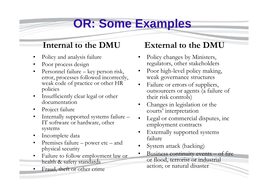### **OR: Some Examples**

#### **Internal to the DMU**

- •Policy and analysis failure
- •Poor process design
- • Personnel failure – key person risk, error, processes followed incorrectly, weak code of practice or other HR policies
- $\bullet$  Insufficiently clear legal or other documentation
- •Project failure
- $\bullet$  Internally supported systems failure – IT software or hardware, other systems
- $\bullet$ Incomplete data
- $\bullet$  Premises failure – power etc – and physical security
- • Failure to follow employment law or health & safety standards
- •Fraud, theft or other crime

#### **External to the DMU**

- • Policy changes by Ministers, regulators, other stakeholders
- • Poor high-level policy making, weak governance structures
- • Failure or errors of suppliers, outsourcers or agents (a failure of their risk controls)
- • Changes in legislation or the courts' interpretation
- • Legal or commercial disputes, inc employment contracts
- • Externally supported systems failure
- •System attack (hacking)
- • Business continuity events – of fire or flood, terrorist or industrial action; or natural disaster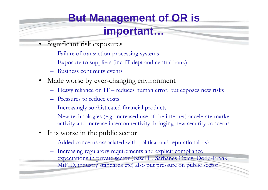### **But Management of OR is**

#### **important…**

- • Significant risk exposures
	- Failure of transaction-processing systems
	- Exposure to suppliers (inc IT dept and central bank)
	- Business continuity events
- Made worse by ever-changing environment
	- Heavy reliance on IT reduces human error, but exposes new risks
	- Pressures to reduce costs
	- Increasingly sophisticated financial products
	- New technologies (e.g. increased use of the internet) accelerate market activity and increase interconnectivity, bringing new security concerns
- It is worse in the public sector
	- Added concerns associated with political and reputational risk
	- Increasing regulatory requirements and explicit compliance expectations in private sector (Basel II, Sarbanes Oxley, Dodd-Frank,
		- MiFID, industry standards etc) also put pressure on public sector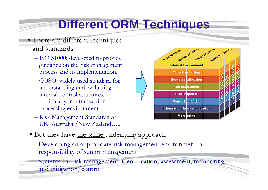## **Different ORM Techniques**

- There are different techniques and standards
	- ISO 31000: developed to provide guidance on the risk management process and its implementation.
	- COSO: widely-used standard for understanding and evaluating internal control structures, particularly in a transaction processing environment.
	- Risk Management Standards of UK, Australia /New Zealand…..



- But they have <u>the same underlying</u> approach
	- –Developing an appropriate risk management environment: a responsibility of senior management

–Systems for risk management: identification, assessment, monitoring, and mitigation/control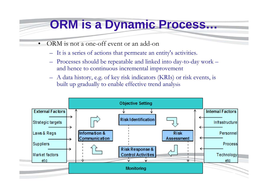### **ORM is a Dynamic Process…**

- • ORM is not a one-off event or an add-on
	- It is a series of actions that permeate an entity's activities.
	- Processes should be repeatable and linked into day-to-day work and hence to continuous incremental improvement
	- A data history, e.g. of key risk indicators (KRIs) or risk events, is built up gradually to enable effective trend analysis

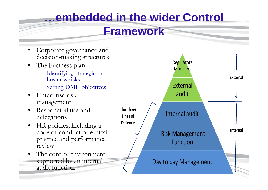### **…embedded in the wider Control**

#### **Framework**

- • Corporate governance and decision-making structures
- • The business plan
	- – Identifying strategic or business risks
	- –Setting DMU objectives
- • Enterprise risk management
- • Responsibilities and delegations
- HR policies; including a code of conduct or ethical practice and performance review
- • The control environment supported by an internal audit function

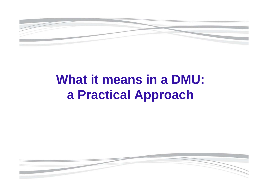

# **What it means in a DMU: a Practical Approach**

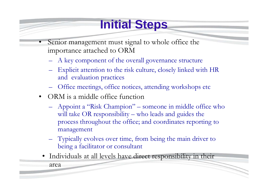# **Initial Steps**

- • Senior management must signal to whole office the importance attached to ORM
	- A key component of the overall governance structure
	- – Explicit attention to the risk culture, closely linked with HR and evaluation practices
	- Office meetings, office notices, attending workshops etc
- ORM is a middle office function
	- – Appoint a "Risk Champion" – someone in middle office who will take OR responsibility – who leads and guides the process throughout the office; and coordinates reporting to management
	- Typically evolves over time, from being the main driver to being a facilitator or consultant
	- Individuals at all levels have direct responsibility in their

area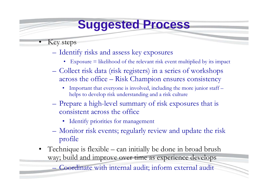### **Suggested Process**

Key steps

•

- – Identify risks and assess key exposures
	- Exposure = likelihood of the relevant risk event multiplied by its impact
- – Collect risk data (risk registers) in a series of workshops across the office – Risk Champion ensures consistency
	- $\bullet$  Important that everyone is involved, including the more junior staff – helps to develop risk understanding and a risk culture
- Prepare a high-level summary of risk exposures that is consistent across the office
	- Identify priorities for management
- Monitor risk events; regularly review and update the risk profile
- Technique is flexible can initially be done in broad brush way; build and improve over time as experience develops

– Coordinate with internal audit; inform external audit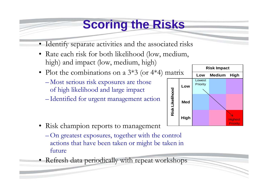### **Scoring the Risks**

- Identify separate activities and the associated risks
- Rate each risk for both likelihood (low, medium, high) and impact (low, medium, high)
- Plot the combinations on a 3\*3 (or 4\*4) matrix
	- Most serious risk exposures are those of high likelihood and large impact
	- Identified for urgent management action



- Risk champion reports to management
	- On greatest exposures, together with the control actions that have been taken or might be taken in future
- Refresh data periodically with repeat workshops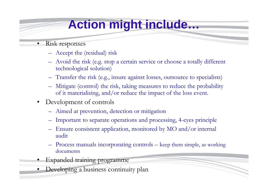# **Action might include…**

- • Risk responses
	- $\mathcal{L}_{\mathcal{A}}$ Accept the (residual) risk
	- – Avoid the risk (e.g. stop a certain service or choose a totally different technological solution)
	- –Transfer the risk (e.g., insure against losses, outsource to specialists)
	- – Mitigate (control) the risk, taking measures to reduce the probability of it materialising, and/or reduce the impact of the loss event.
- • Development of controls
	- <u>– Listo Listo Listo Listo Listo Listo Listo Listo Listo Listo Listo Listo Listo Listo Listo Listo Listo Listo </u> Aimed at prevention, detection or mitigation
	- –Important to separate operations and processing, 4-eyes principle
	- – Ensure consistent application, monitored by MO and/or internal audit
	- – Process manuals incorporating controls – keep them simple, as working documents
- •Expanded training programme
- Developing a business continuity plan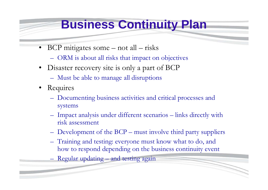#### **Business Continuity Plan**

- BCP mitigates some not all risks
	- –ORM is about all risks that impact on objectives
- • Disaster recovery site is only a part of BCP
	- –Must be able to manage all disruptions
- Requires
	- Documenting business activities and critical processes and systems
	- Impact analysis under different scenarios links directly with risk assessment
	- <u>– Listo Listo Listo Listo Listo Listo Listo Listo Listo Listo Listo Listo Listo Listo Listo Listo Listo Listo </u> Development of the BCP – must involve third party suppliers
	- Training and testing: everyone must know what to do, and how to respond depending on the business continuity event
	- Regular updating and testing again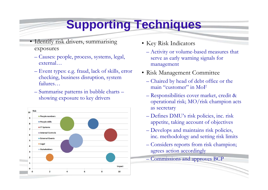## **Supporting Techniques**

- Identify risk drivers, summarising exposures
	- Causes: people, process, systems, legal, external…
	- Event types: e.g. fraud, lack of skills, error checking, business disruption, system failures…
	- Summarise patterns in bubble charts showing exposure to key drivers



- Key Risk Indicators
	- Activity or volume-based measures that serve as early warning signals for management
- Risk Management Committee
	- Chaired by head of debt office or the main "customer" in MoF
	- Responsibilities cover market, credit & operational risk; MO/risk champion acts as secretary
	- Defines DMU's risk policies, inc. risk appetite, taking account of objectives
	- Develops and maintains risk policies, inc. methodology and setting risk limits
	- Considers reports from risk champion; agrees action accordingly
- Commissions and approves BCP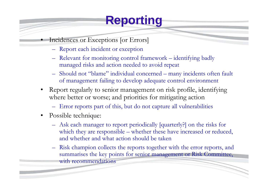## **Reporting**

- Incidences or Exceptions [or Errors]
	- Report each incident or exception
	- Relevant for monitoring control framework identifying badly managed risks and action needed to avoid repeat
	- Should not "blame" individual concerned many incidents often fault of management failing to develop adequate control environment
- • Report regularly to senior management on risk profile, identifying where better or worse; and priorities for mitigating action
	- Error reports part of this, but do not capture all vulnerabilities
- Possible technique:

•

- Ask each manager to report periodically [quarterly?] on the risks for which they are responsible – whether these have increased or reduced, and whether and what action should be taken
- – Risk champion collects the reports together with the error reports, and summarises the key points for senior management or Risk Committee, with recommendations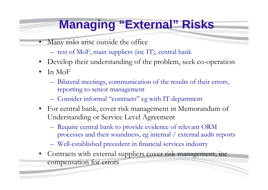### **Managing "External" Risks**

- • Many risks arise outside the office
	- –rest of MoF, main suppliers (inc IT), central bank
- Develop their understanding of the problem, seek co-operation
- • In MoF
	- Bilateral meetings, communication of the results of their errors, reporting to senior management
	- <u>– Listo Listo Listo Listo Listo Listo Listo Listo Listo Listo Listo Listo Listo Listo Listo Listo Listo Listo </u> Consider informal "contracts" eg with IT department
- • For central bank, cover risk management in Memorandum of Understanding or Service Level Agreement
	- Require central bank to provide evidence of relevant ORM processes and their soundness, eg internal / external audit reports
	- Well-established precedent in financial services industry
- Contracts with external suppliers cover risk management, inc compensation for errors